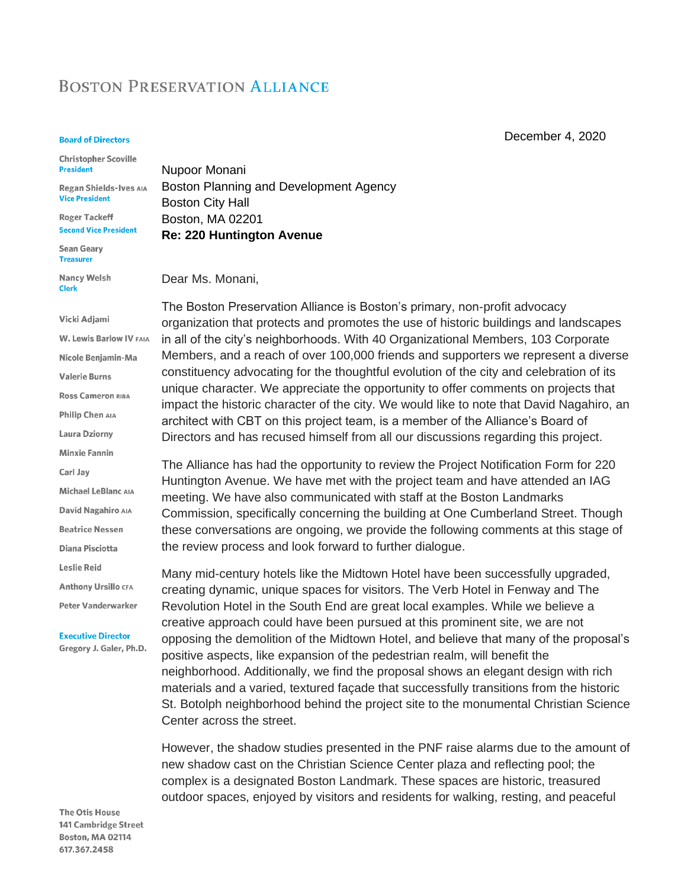## **BOSTON PRESERVATION ALLIANCE**

## **Board of Directors**

**Christopher Scoville President** 

Regan Shields-Ives AIA **Vice President** 

**Roger Tackeff Second Vice President** 

**Sean Geary Treasurer** 

**Nancy Welsh Clerk** 

## Vicki Adjami

**W. Lewis Barlow IV FAIA** Nicole Benjamin-Ma **Valerie Burns Ross Cameron RIBA** Philip Chen AIA Laura Dziorny **Minxie Fannin** Carl Jay Michael LeBlanc AIA David Nagahiro AIA **Beatrice Nessen Diana Pisciotta Leslie Reid Anthony Ursillo CFA** Peter Vanderwarker

**Executive Director** 

Gregory J. Galer, Ph.D.

The Otis House 141 Cambridge Street Boston, MA 02114 617.367.2458

[Nupoor Monani](about:blank) Boston Planning and Development Agency Boston City Hall Boston, MA 02201 **Re: 220 Huntington Avenue**

Dear Ms. Monani,

The Boston Preservation Alliance is Boston's primary, non-profit advocacy organization that protects and promotes the use of historic buildings and landscapes in all of the city's neighborhoods. With 40 Organizational Members, 103 Corporate Members, and a reach of over 100,000 friends and supporters we represent a diverse constituency advocating for the thoughtful evolution of the city and celebration of its unique character. We appreciate the opportunity to offer comments on projects that impact the historic character of the city. We would like to note that David Nagahiro, an architect with CBT on this project team, is a member of the Alliance's Board of Directors and has recused himself from all our discussions regarding this project.

The Alliance has had the opportunity to review the Project Notification Form for 220 Huntington Avenue. We have met with the project team and have attended an IAG meeting. We have also communicated with staff at the Boston Landmarks Commission, specifically concerning the building at One Cumberland Street. Though these conversations are ongoing, we provide the following comments at this stage of the review process and look forward to further dialogue.

Many mid-century hotels like the Midtown Hotel have been successfully upgraded, creating dynamic, unique spaces for visitors. The Verb Hotel in Fenway and The Revolution Hotel in the South End are great local examples. While we believe a creative approach could have been pursued at this prominent site, we are not opposing the demolition of the Midtown Hotel, and believe that many of the proposal's positive aspects, like expansion of the pedestrian realm, will benefit the neighborhood. Additionally, we find the proposal shows an elegant design with rich materials and a varied, textured façade that successfully transitions from the historic St. Botolph neighborhood behind the project site to the monumental Christian Science Center across the street.

However, the shadow studies presented in the PNF raise alarms due to the amount of new shadow cast on the Christian Science Center plaza and reflecting pool; the complex is a designated Boston Landmark. These spaces are historic, treasured outdoor spaces, enjoyed by visitors and residents for walking, resting, and peaceful

December 4, 2020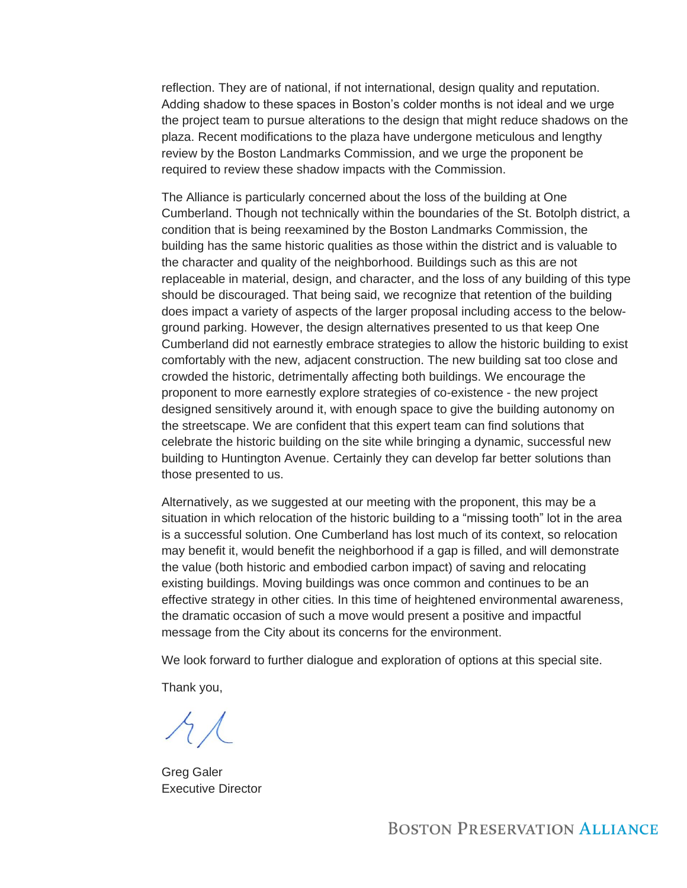reflection. They are of national, if not international, design quality and reputation. Adding shadow to these spaces in Boston's colder months is not ideal and we urge the project team to pursue alterations to the design that might reduce shadows on the plaza. Recent modifications to the plaza have undergone meticulous and lengthy review by the Boston Landmarks Commission, and we urge the proponent be required to review these shadow impacts with the Commission.

The Alliance is particularly concerned about the loss of the building at One Cumberland. Though not technically within the boundaries of the St. Botolph district, a condition that is being reexamined by the Boston Landmarks Commission, the building has the same historic qualities as those within the district and is valuable to the character and quality of the neighborhood. Buildings such as this are not replaceable in material, design, and character, and the loss of any building of this type should be discouraged. That being said, we recognize that retention of the building does impact a variety of aspects of the larger proposal including access to the belowground parking. However, the design alternatives presented to us that keep One Cumberland did not earnestly embrace strategies to allow the historic building to exist comfortably with the new, adjacent construction. The new building sat too close and crowded the historic, detrimentally affecting both buildings. We encourage the proponent to more earnestly explore strategies of co-existence - the new project designed sensitively around it, with enough space to give the building autonomy on the streetscape. We are confident that this expert team can find solutions that celebrate the historic building on the site while bringing a dynamic, successful new building to Huntington Avenue. Certainly they can develop far better solutions than those presented to us.

Alternatively, as we suggested at our meeting with the proponent, this may be a situation in which relocation of the historic building to a "missing tooth" lot in the area is a successful solution. One Cumberland has lost much of its context, so relocation may benefit it, would benefit the neighborhood if a gap is filled, and will demonstrate the value (both historic and embodied carbon impact) of saving and relocating existing buildings. Moving buildings was once common and continues to be an effective strategy in other cities. In this time of heightened environmental awareness, the dramatic occasion of such a move would present a positive and impactful message from the City about its concerns for the environment.

We look forward to further dialogue and exploration of options at this special site.

Thank you,

 $AL$ 

Greg Galer Executive Director